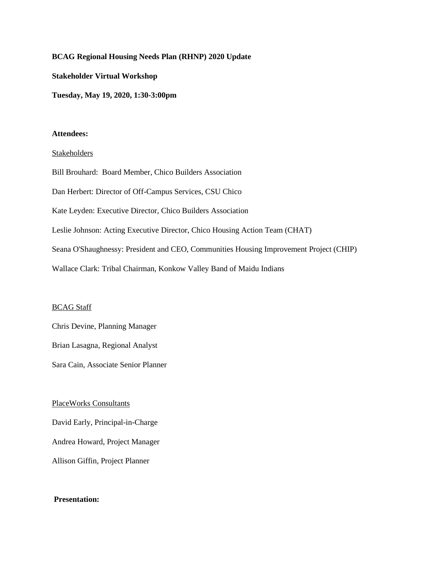### **BCAG Regional Housing Needs Plan (RHNP) 2020 Update**

**Stakeholder Virtual Workshop**

**Tuesday, May 19, 2020, 1:30-3:00pm**

#### **Attendees:**

### Stakeholders

Bill Brouhard: Board Member, Chico Builders Association Dan Herbert: Director of Off-Campus Services, CSU Chico Kate Leyden: Executive Director, Chico Builders Association Leslie Johnson: Acting Executive Director, Chico Housing Action Team (CHAT) Seana O'Shaughnessy: President and CEO, Communities Housing Improvement Project (CHIP) Wallace Clark: Tribal Chairman, Konkow Valley Band of Maidu Indians

### BCAG Staff

Chris Devine, Planning Manager Brian Lasagna, Regional Analyst

Sara Cain, Associate Senior Planner

PlaceWorks Consultants David Early, Principal-in-Charge Andrea Howard, Project Manager Allison Giffin, Project Planner

### **Presentation:**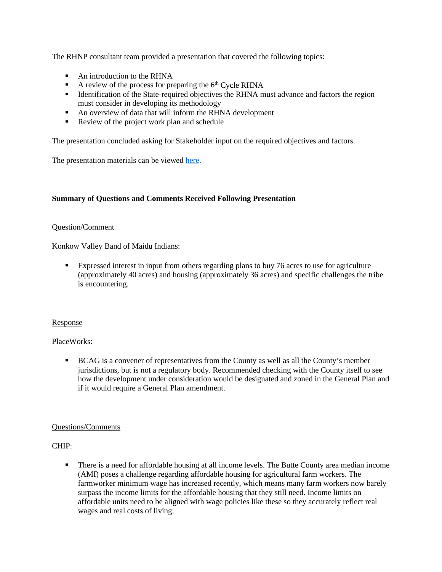The RHNP consultant team provided a presentation that covered the following topics:

- An introduction to the RHNA
- A review of the process for preparing the  $6<sup>th</sup>$  Cycle RHNA
- **IDENTIFICATE:** Identification of the State-required objectives the RHNA must advance and factors the region must consider in developing its methodology
- An overview of data that will inform the RHNA development
- Review of the project work plan and schedule

The presentation concluded asking for Stakeholder input on the required objectives and factors.

The presentation materials can be viewed [here.](http://www.bcag.org/documents/planning/RHNP/2020%20RHNP/BCAG%20RNHP%20Stakeholder%20Workshop%20051920.pdf)

# **Summary of Questions and Comments Received Following Presentation**

## Question/Comment

Konkow Valley Band of Maidu Indians:

Expressed interest in input from others regarding plans to buy 76 acres to use for agriculture (approximately 40 acres) and housing (approximately 36 acres) and specific challenges the tribe is encountering.

## Response

## PlaceWorks:

**BCAG** is a convener of representatives from the County as well as all the County's member jurisdictions, but is not a regulatory body. Recommended checking with the County itself to see how the development under consideration would be designated and zoned in the General Plan and if it would require a General Plan amendment.

## Questions/Comments

## CHIP:

 There is a need for affordable housing at all income levels. The Butte County area median income (AMI) poses a challenge regarding affordable housing for agricultural farm workers. The farmworker minimum wage has increased recently, which means many farm workers now barely surpass the income limits for the affordable housing that they still need. Income limits on affordable units need to be aligned with wage policies like these so they accurately reflect real wages and real costs of living.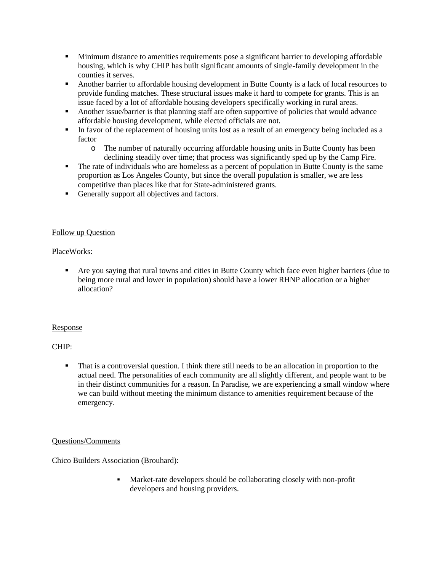- **Minimum distance to amenities requirements pose a significant barrier to developing affordable** housing, which is why CHIP has built significant amounts of single-family development in the counties it serves.
- Another barrier to affordable housing development in Butte County is a lack of local resources to provide funding matches. These structural issues make it hard to compete for grants. This is an issue faced by a lot of affordable housing developers specifically working in rural areas.
- Another issue/barrier is that planning staff are often supportive of policies that would advance affordable housing development, while elected officials are not.
- In favor of the replacement of housing units lost as a result of an emergency being included as a factor
	- o The number of naturally occurring affordable housing units in Butte County has been declining steadily over time; that process was significantly sped up by the Camp Fire.
- The rate of individuals who are homeless as a percent of population in Butte County is the same proportion as Los Angeles County, but since the overall population is smaller, we are less competitive than places like that for State-administered grants.
- Generally support all objectives and factors.

# Follow up Question

PlaceWorks:

 Are you saying that rural towns and cities in Butte County which face even higher barriers (due to being more rural and lower in population) should have a lower RHNP allocation or a higher allocation?

## Response

# CHIP:

 That is a controversial question. I think there still needs to be an allocation in proportion to the actual need. The personalities of each community are all slightly different, and people want to be in their distinct communities for a reason. In Paradise, we are experiencing a small window where we can build without meeting the minimum distance to amenities requirement because of the emergency.

## Questions/Comments

Chico Builders Association (Brouhard):

 Market-rate developers should be collaborating closely with non-profit developers and housing providers.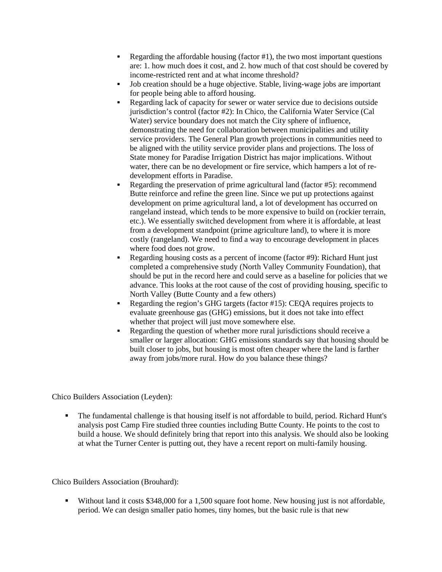- Regarding the affordable housing (factor #1), the two most important questions are: 1. how much does it cost, and 2. how much of that cost should be covered by income-restricted rent and at what income threshold?
- Job creation should be a huge objective. Stable, living-wage jobs are important for people being able to afford housing.
- Regarding lack of capacity for sewer or water service due to decisions outside jurisdiction's control (factor #2): In Chico, the California Water Service (Cal Water) service boundary does not match the City sphere of influence, demonstrating the need for collaboration between municipalities and utility service providers. The General Plan growth projections in communities need to be aligned with the utility service provider plans and projections. The loss of State money for Paradise Irrigation District has major implications. Without water, there can be no development or fire service, which hampers a lot of redevelopment efforts in Paradise.
- Regarding the preservation of prime agricultural land (factor #5): recommend Butte reinforce and refine the green line. Since we put up protections against development on prime agricultural land, a lot of development has occurred on rangeland instead, which tends to be more expensive to build on (rockier terrain, etc.). We essentially switched development from where it is affordable, at least from a development standpoint (prime agriculture land), to where it is more costly (rangeland). We need to find a way to encourage development in places where food does not grow.
- Regarding housing costs as a percent of income (factor #9): Richard Hunt just completed a comprehensive study (North Valley Community Foundation), that should be put in the record here and could serve as a baseline for policies that we advance. This looks at the root cause of the cost of providing housing, specific to North Valley (Butte County and a few others)
- Regarding the region's GHG targets (factor #15): CEQA requires projects to evaluate greenhouse gas (GHG) emissions, but it does not take into effect whether that project will just move somewhere else.
- Regarding the question of whether more rural jurisdictions should receive a smaller or larger allocation: GHG emissions standards say that housing should be built closer to jobs, but housing is most often cheaper where the land is farther away from jobs/more rural. How do you balance these things?

Chico Builders Association (Leyden):

 The fundamental challenge is that housing itself is not affordable to build, period. Richard Hunt's analysis post Camp Fire studied three counties including Butte County. He points to the cost to build a house. We should definitely bring that report into this analysis. We should also be looking at what the Turner Center is putting out, they have a recent report on multi-family housing.

Chico Builders Association (Brouhard):

 Without land it costs \$348,000 for a 1,500 square foot home. New housing just is not affordable, period. We can design smaller patio homes, tiny homes, but the basic rule is that new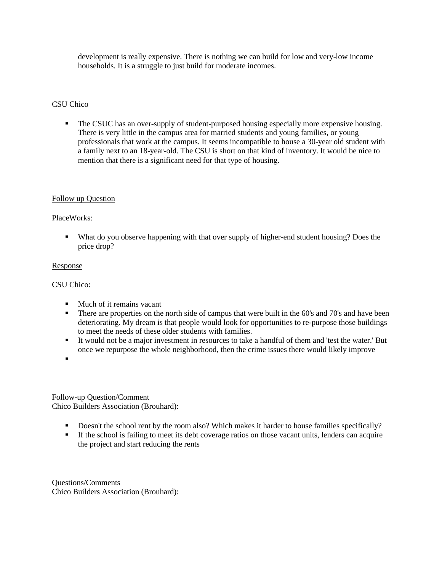development is really expensive. There is nothing we can build for low and very-low income households. It is a struggle to just build for moderate incomes.

### CSU Chico

 The CSUC has an over-supply of student-purposed housing especially more expensive housing. There is very little in the campus area for married students and young families, or young professionals that work at the campus. It seems incompatible to house a 30-year old student with a family next to an 18-year-old. The CSU is short on that kind of inventory. It would be nice to mention that there is a significant need for that type of housing.

## Follow up Question

### PlaceWorks:

 What do you observe happening with that over supply of higher-end student housing? Does the price drop?

### Response

### CSU Chico:

- Much of it remains vacant
- There are properties on the north side of campus that were built in the 60's and 70's and have been deteriorating. My dream is that people would look for opportunities to re-purpose those buildings to meet the needs of these older students with families.
- It would not be a major investment in resources to take a handful of them and 'test the water.' But once we repurpose the whole neighborhood, then the crime issues there would likely improve
- .

### Follow-up Question/Comment Chico Builders Association (Brouhard):

- Doesn't the school rent by the room also? Which makes it harder to house families specifically?
- If the school is failing to meet its debt coverage ratios on those vacant units, lenders can acquire the project and start reducing the rents

Questions/Comments Chico Builders Association (Brouhard):